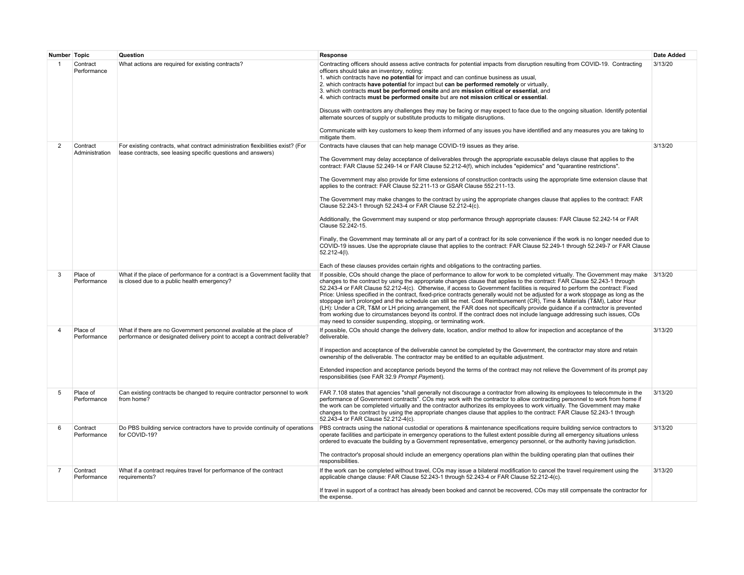| Number Topic   |                            | Question                                                                                                                                          | Response                                                                                                                                                                                                                                                                                                                                                                                                                                                                                                                                                                                                                                                                                                                                                                                                                                                                                                                                                                                            | <b>Date Added</b> |
|----------------|----------------------------|---------------------------------------------------------------------------------------------------------------------------------------------------|-----------------------------------------------------------------------------------------------------------------------------------------------------------------------------------------------------------------------------------------------------------------------------------------------------------------------------------------------------------------------------------------------------------------------------------------------------------------------------------------------------------------------------------------------------------------------------------------------------------------------------------------------------------------------------------------------------------------------------------------------------------------------------------------------------------------------------------------------------------------------------------------------------------------------------------------------------------------------------------------------------|-------------------|
| 1              | Contract<br>Performance    | What actions are required for existing contracts?                                                                                                 | Contracting officers should assess active contracts for potential impacts from disruption resulting from COVID-19. Contracting<br>officers should take an inventory, noting:<br>1. which contracts have no potential for impact and can continue business as usual,<br>2. which contracts have potential for impact but can be performed remotely or virtually,<br>3. which contracts must be performed onsite and are mission critical or essential, and<br>4. which contracts must be performed onsite but are not mission critical or essential.<br>Discuss with contractors any challenges they may be facing or may expect to face due to the ongoing situation. Identify potential<br>alternate sources of supply or substitute products to mitigate disruptions.<br>Communicate with key customers to keep them informed of any issues you have identified and any measures you are taking to                                                                                                | 3/13/20           |
|                |                            |                                                                                                                                                   | mitigate them.                                                                                                                                                                                                                                                                                                                                                                                                                                                                                                                                                                                                                                                                                                                                                                                                                                                                                                                                                                                      | 3/13/20           |
| 2              | Contract<br>Administration | For existing contracts, what contract administration flexibilities exist? (For<br>lease contracts, see leasing specific questions and answers)    | Contracts have clauses that can help manage COVID-19 issues as they arise.<br>The Government may delay acceptance of deliverables through the appropriate excusable delays clause that applies to the<br>contract: FAR Clause 52.249-14 or FAR Clause 52.212-4(f), which includes "epidemics" and "quarantine restrictions".<br>The Government may also provide for time extensions of construction contracts using the appropriate time extension clause that                                                                                                                                                                                                                                                                                                                                                                                                                                                                                                                                      |                   |
|                |                            |                                                                                                                                                   | applies to the contract: FAR Clause 52.211-13 or GSAR Clause 552.211-13.                                                                                                                                                                                                                                                                                                                                                                                                                                                                                                                                                                                                                                                                                                                                                                                                                                                                                                                            |                   |
|                |                            |                                                                                                                                                   | The Government may make changes to the contract by using the appropriate changes clause that applies to the contract: FAR<br>Clause 52.243-1 through 52.243-4 or FAR Clause 52.212-4(c).                                                                                                                                                                                                                                                                                                                                                                                                                                                                                                                                                                                                                                                                                                                                                                                                            |                   |
|                |                            |                                                                                                                                                   | Additionally, the Government may suspend or stop performance through appropriate clauses: FAR Clause 52.242-14 or FAR<br>Clause 52.242-15.                                                                                                                                                                                                                                                                                                                                                                                                                                                                                                                                                                                                                                                                                                                                                                                                                                                          |                   |
|                |                            |                                                                                                                                                   | Finally, the Government may terminate all or any part of a contract for its sole convenience if the work is no longer needed due to<br>COVID-19 issues. Use the appropriate clause that applies to the contract: FAR Clause 52.249-1 through 52.249-7 or FAR Clause<br>$52.212 - 4(l)$ .                                                                                                                                                                                                                                                                                                                                                                                                                                                                                                                                                                                                                                                                                                            |                   |
|                |                            |                                                                                                                                                   | Each of these clauses provides certain rights and obligations to the contracting parties.                                                                                                                                                                                                                                                                                                                                                                                                                                                                                                                                                                                                                                                                                                                                                                                                                                                                                                           |                   |
| 3              | Place of<br>Performance    | What if the place of performance for a contract is a Government facility that<br>is closed due to a public health emergency?                      | If possible, COs should change the place of performance to allow for work to be completed virtually. The Government may make 3/13/20<br>changes to the contract by using the appropriate changes clause that applies to the contract: FAR Clause 52.243-1 through<br>52.243-4 or FAR Clause 52.212-4(c). Otherwise, if access to Government facilities is required to perform the contract: Fixed<br>Price: Unless specified in the contract, fixed-price contracts generally would not be adjusted for a work stoppage as long as the<br>stoppage isn't prolonged and the schedule can still be met. Cost Reimbursement (CR), Time & Materials (T&M), Labor Hour<br>(LH): Under a CR, T&M or LH pricing arrangement, the FAR does not specifically provide guidance if a contractor is prevented<br>from working due to circumstances beyond its control. If the contract does not include language addressing such issues, COs<br>may need to consider suspending, stopping, or terminating work. |                   |
| 4              | Place of<br>Performance    | What if there are no Government personnel available at the place of<br>performance or designated delivery point to accept a contract deliverable? | If possible, COs should change the delivery date, location, and/or method to allow for inspection and acceptance of the<br>deliverable.                                                                                                                                                                                                                                                                                                                                                                                                                                                                                                                                                                                                                                                                                                                                                                                                                                                             | 3/13/20           |
|                |                            |                                                                                                                                                   | If inspection and acceptance of the deliverable cannot be completed by the Government, the contractor may store and retain<br>ownership of the deliverable. The contractor may be entitled to an equitable adjustment.                                                                                                                                                                                                                                                                                                                                                                                                                                                                                                                                                                                                                                                                                                                                                                              |                   |
|                |                            |                                                                                                                                                   | Extended inspection and acceptance periods beyond the terms of the contract may not relieve the Government of its prompt pay<br>responsibilities (see FAR 32.9 Prompt Payment).                                                                                                                                                                                                                                                                                                                                                                                                                                                                                                                                                                                                                                                                                                                                                                                                                     |                   |
| 5              | Place of<br>Performance    | Can existing contracts be changed to require contractor personnel to work<br>from home?                                                           | FAR 7.108 states that agencies "shall generally not discourage a contractor from allowing its employees to telecommute in the<br>performance of Government contracts". COs may work with the contractor to allow contracting personnel to work from home if<br>the work can be completed virtually and the contractor authorizes its employees to work virtually. The Government may make<br>changes to the contract by using the appropriate changes clause that applies to the contract: FAR Clause 52.243-1 through<br>52.243-4 or FAR Clause 52.212-4(c).                                                                                                                                                                                                                                                                                                                                                                                                                                       | 3/13/20           |
| 6              | Contract<br>Performance    | Do PBS building service contractors have to provide continuity of operations<br>for COVID-19?                                                     | PBS contracts using the national custodial or operations & maintenance specifications require building service contractors to<br>operate facilities and participate in emergency operations to the fullest extent possible during all emergency situations unless<br>ordered to evacuate the building by a Government representative, emergency personnel, or the authority having jurisdiction.<br>The contractor's proposal should include an emergency operations plan within the building operating plan that outlines their<br>responsibilities.                                                                                                                                                                                                                                                                                                                                                                                                                                               | 3/13/20           |
| $\overline{7}$ | Contract<br>Performance    | What if a contract requires travel for performance of the contract<br>requirements?                                                               | If the work can be completed without travel, COs may issue a bilateral modification to cancel the travel requirement using the<br>applicable change clause: FAR Clause 52.243-1 through 52.243-4 or FAR Clause 52.212-4(c).                                                                                                                                                                                                                                                                                                                                                                                                                                                                                                                                                                                                                                                                                                                                                                         | 3/13/20           |
|                |                            |                                                                                                                                                   | If travel in support of a contract has already been booked and cannot be recovered. COs may still compensate the contractor for<br>the expense.                                                                                                                                                                                                                                                                                                                                                                                                                                                                                                                                                                                                                                                                                                                                                                                                                                                     |                   |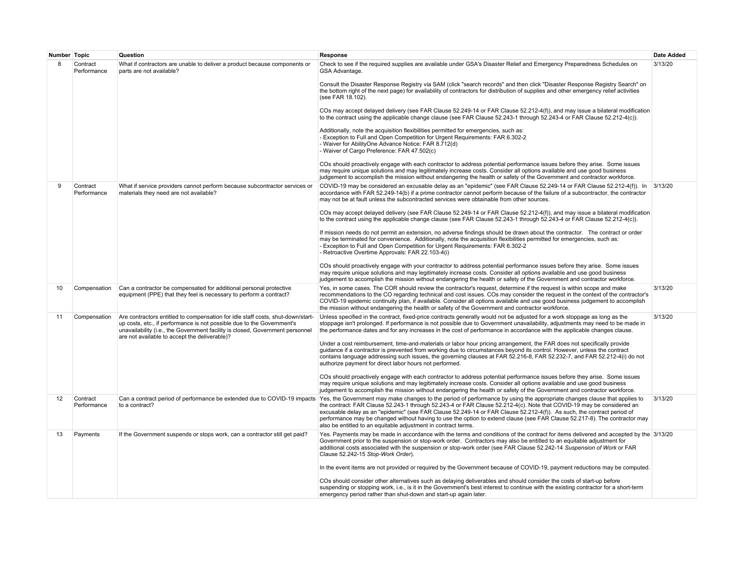| Number Topic |                         | Question                                                                                                                                                                                                                                                                                    | Response                                                                                                                                                                                                                                                                                                                                                                                                                                                                                                                                                                     | <b>Date Added</b> |
|--------------|-------------------------|---------------------------------------------------------------------------------------------------------------------------------------------------------------------------------------------------------------------------------------------------------------------------------------------|------------------------------------------------------------------------------------------------------------------------------------------------------------------------------------------------------------------------------------------------------------------------------------------------------------------------------------------------------------------------------------------------------------------------------------------------------------------------------------------------------------------------------------------------------------------------------|-------------------|
| 8            | Contract<br>Performance | What if contractors are unable to deliver a product because components or<br>parts are not available?                                                                                                                                                                                       | Check to see if the required supplies are available under GSA's Disaster Relief and Emergency Preparedness Schedules on<br>GSA Advantage.                                                                                                                                                                                                                                                                                                                                                                                                                                    | 3/13/20           |
|              |                         |                                                                                                                                                                                                                                                                                             | Consult the Disaster Response Registry via SAM (click "search records" and then click "Disaster Response Registry Search" on<br>the bottom right of the next page) for availability of contractors for distribution of supplies and other emergency relief activities<br>(see FAR 18.102).                                                                                                                                                                                                                                                                                   |                   |
|              |                         |                                                                                                                                                                                                                                                                                             | COs may accept delayed delivery (see FAR Clause 52.249-14 or FAR Clause 52.212-4(f)), and may issue a bilateral modification<br>to the contract using the applicable change clause (see FAR Clause 52.243-1 through 52.243-4 or FAR Clause 52.212-4(c)).                                                                                                                                                                                                                                                                                                                     |                   |
|              |                         |                                                                                                                                                                                                                                                                                             | Additionally, note the acquisition flexibilities permitted for emergencies, such as:<br>- Exception to Full and Open Competition for Urgent Requirements: FAR 6.302-2<br>- Waiver for AbilityOne Advance Notice: FAR 8.712(d)<br>- Waiver of Cargo Preference: FAR 47.502(c)                                                                                                                                                                                                                                                                                                 |                   |
|              |                         |                                                                                                                                                                                                                                                                                             | COs should proactively engage with each contractor to address potential performance issues before they arise. Some issues<br>may require unique solutions and may legitimately increase costs. Consider all options available and use good business<br>judgement to accomplish the mission without endangering the health or safety of the Government and contractor workforce.                                                                                                                                                                                              |                   |
| 9            | Contract<br>Performance | What if service providers cannot perform because subcontractor services or<br>materials they need are not available?                                                                                                                                                                        | COVID-19 may be considered an excusable delay as an "epidemic" (see FAR Clause 52.249-14 or FAR Clause 52.212-4(f)). In 3/13/20<br>accordance with FAR 52.249-14(b) if a prime contractor cannot perform because of the failure of a subcontractor, the contractor<br>may not be at fault unless the subcontracted services were obtainable from other sources.                                                                                                                                                                                                              |                   |
|              |                         |                                                                                                                                                                                                                                                                                             | COs may accept delayed delivery (see FAR Clause 52.249-14 or FAR Clause 52.212-4(f)), and may issue a bilateral modification<br>to the contract using the applicable change clause (see FAR Clause 52.243-1 through 52.243-4 or FAR Clause 52.212-4(c)).                                                                                                                                                                                                                                                                                                                     |                   |
|              |                         |                                                                                                                                                                                                                                                                                             | If mission needs do not permit an extension, no adverse findings should be drawn about the contractor. The contract or order<br>may be terminated for convenience. Additionally, note the acquisition flexibilities permitted for emergencies, such as:<br>- Exception to Full and Open Competition for Urgent Requirements: FAR 6.302-2<br>- Retroactive Overtime Approvals: FAR 22.103-4(i)                                                                                                                                                                                |                   |
|              |                         |                                                                                                                                                                                                                                                                                             | COs should proactively engage with your contractor to address potential performance issues before they arise. Some issues<br>may require unique solutions and may legitimately increase costs. Consider all options available and use good business<br>judgement to accomplish the mission without endangering the health or safety of the Government and contractor workforce.                                                                                                                                                                                              |                   |
| 10           | Compensation            | Can a contractor be compensated for additional personal protective<br>equipment (PPE) that they feel is necessary to perform a contract?                                                                                                                                                    | Yes, in some cases. The COR should review the contractor's request, determine if the request is within scope and make<br>recommendations to the CO regarding technical and cost issues. COs may consider the request in the context of the contractor's<br>COVID-19 epidemic continuity plan, if available. Consider all options available and use good business judgement to accomplish<br>the mission without endangering the health or safety of the Government and contractor workforce.                                                                                 | 3/13/20           |
| 11           | Compensation            | Are contractors entitled to compensation for idle staff costs, shut-down/start-<br>up costs, etc., if performance is not possible due to the Government's<br>unavailability (i.e., the Government facility is closed, Government personnel<br>are not available to accept the deliverable)? | Unless specified in the contract, fixed-price contracts generally would not be adjusted for a work stoppage as long as the<br>stoppage isn't prolonged. If performance is not possible due to Government unavailability, adjustments may need to be made in<br>the performance dates and for any increases in the cost of performance in accordance with the applicable changes clause.                                                                                                                                                                                      | 3/13/20           |
|              |                         |                                                                                                                                                                                                                                                                                             | Under a cost reimbursement, time-and-materials or labor hour pricing arrangement, the FAR does not specifically provide<br>guidance if a contractor is prevented from working due to circumstances beyond its control. However, unless the contract<br>contains language addressing such issues, the governing clauses at FAR 52.216-8, FAR 52.232-7, and FAR 52.212-4(i) do not<br>authorize payment for direct labor hours not performed.                                                                                                                                  |                   |
|              |                         |                                                                                                                                                                                                                                                                                             | COs should proactively engage with each contractor to address potential performance issues before they arise. Some issues<br>may require unique solutions and may legitimately increase costs. Consider all options available and use good business<br>judgement to accomplish the mission without endangering the health or safety of the Government and contractor workforce.                                                                                                                                                                                              |                   |
| 12           | Contract<br>Performance | Can a contract period of performance be extended due to COVID-19 impacts<br>to a contract?                                                                                                                                                                                                  | Yes, the Government may make changes to the period of performance by using the appropriate changes clause that applies to<br>the contract: FAR Clause 52.243-1 through 52.243-4 or FAR Clause 52.212-4(c). Note that COVID-19 may be considered an<br>excusable delay as an "epidemic" (see FAR Clause 52.249-14 or FAR Clause 52.212-4(f)). As such, the contract period of<br>performance may be changed without having to use the option to extend clause (see FAR Clause 52.217-8). The contractor may<br>also be entitled to an equitable adjustment in contract terms. | 3/13/20           |
| 13           | Payments                | If the Government suspends or stops work, can a contractor still get paid?                                                                                                                                                                                                                  | Yes. Payments may be made in accordance with the terms and conditions of the contract for items delivered and accepted by the 3/13/20<br>Government prior to the suspension or stop-work order. Contractors may also be entitled to an equitable adjustment for<br>additional costs associated with the suspension or stop-work order (see FAR Clause 52.242-14 Suspension of Work or FAR<br>Clause 52.242-15 Stop-Work Order).                                                                                                                                              |                   |
|              |                         |                                                                                                                                                                                                                                                                                             | In the event items are not provided or required by the Government because of COVID-19, payment reductions may be computed.                                                                                                                                                                                                                                                                                                                                                                                                                                                   |                   |
|              |                         |                                                                                                                                                                                                                                                                                             | COs should consider other alternatives such as delaying deliverables and should consider the costs of start-up before<br>suspending or stopping work, i.e., is it in the Government's best interest to continue with the existing contractor for a short-term<br>emergency period rather than shut-down and start-up again later.                                                                                                                                                                                                                                            |                   |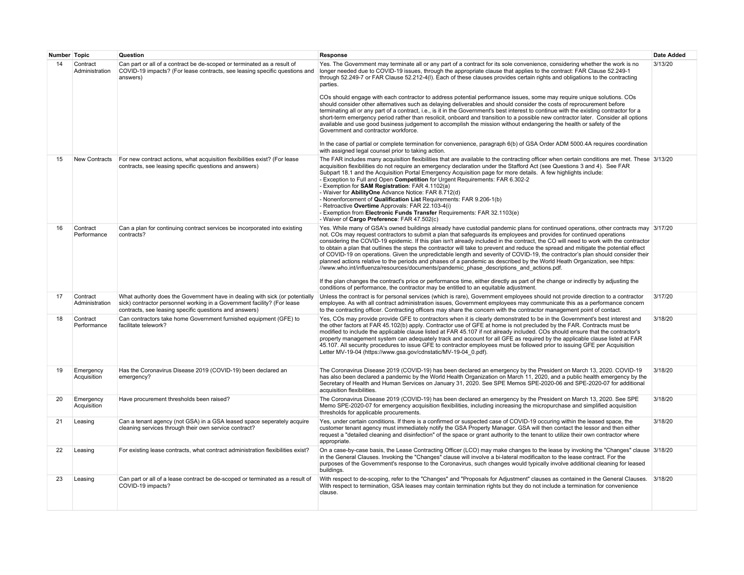| Number Topic |                            | Question                                                                                                                                                                                                          | Response                                                                                                                                                                                                                                                                                                                                                                                                                                                                                                                                                                                                                                                                                                                                                                                                                                                                                                                                                                                                                                                                                                                                                                                                                                                                                       | <b>Date Added</b> |
|--------------|----------------------------|-------------------------------------------------------------------------------------------------------------------------------------------------------------------------------------------------------------------|------------------------------------------------------------------------------------------------------------------------------------------------------------------------------------------------------------------------------------------------------------------------------------------------------------------------------------------------------------------------------------------------------------------------------------------------------------------------------------------------------------------------------------------------------------------------------------------------------------------------------------------------------------------------------------------------------------------------------------------------------------------------------------------------------------------------------------------------------------------------------------------------------------------------------------------------------------------------------------------------------------------------------------------------------------------------------------------------------------------------------------------------------------------------------------------------------------------------------------------------------------------------------------------------|-------------------|
| 14           | Contract<br>Administration | Can part or all of a contract be de-scoped or terminated as a result of<br>COVID-19 impacts? (For lease contracts, see leasing specific questions and<br>answers)                                                 | Yes. The Government may terminate all or any part of a contract for its sole convenience, considering whether the work is no<br>longer needed due to COVID-19 issues, through the appropriate clause that applies to the contract: FAR Clause 52.249-1<br>through 52.249-7 or FAR Clause 52.212-4(I). Each of these clauses provides certain rights and obligations to the contracting<br>parties.<br>COs should engage with each contractor to address potential performance issues, some may require unique solutions. COs<br>should consider other alternatives such as delaying deliverables and should consider the costs of reprocurement before<br>terminating all or any part of a contract, i.e., is it in the Government's best interest to continue with the existing contractor for a<br>short-term emergency period rather than resolicit, onboard and transition to a possible new contractor later. Consider all options<br>available and use good business judgement to accomplish the mission without endangering the health or safety of the<br>Government and contractor workforce.<br>In the case of partial or complete termination for convenience, paragraph 6(b) of GSA Order ADM 5000.4A requires coordination<br>with assigned legal counsel prior to taking action. | 3/13/20           |
| 15           | New Contracts              | For new contract actions, what acquisition flexibilities exist? (For lease<br>contracts, see leasing specific questions and answers)                                                                              | The FAR includes many acquisition flexibilities that are available to the contracting officer when certain conditions are met. These 3/13/20<br>acquisition flexibilities do not require an emergency declaration under the Stafford Act (see Questions 3 and 4). See FAR<br>Subpart 18.1 and the Acquisition Portal Emergency Acquisition page for more details. A few highlights include:<br>- Exception to Full and Open Competition for Urgent Requirements: FAR 6.302-2<br>- Exemption for <b>SAM Registration</b> : FAR 4.1102(a)<br>- Waiver for AbilityOne Advance Notice: FAR 8.712(d)<br>- Nonenforcement of Qualification List Requirements: FAR 9.206-1(b)<br>- Retroactive Overtime Approvals: FAR 22.103-4(i)<br>- Exemption from Electronic Funds Transfer Requirements: FAR 32.1103(e)<br>- Waiver of Cargo Preference: FAR 47.502(c)                                                                                                                                                                                                                                                                                                                                                                                                                                          |                   |
| 16           | Contract<br>Performance    | Can a plan for continuing contract services be incorporated into existing<br>contracts?                                                                                                                           | Yes. While many of GSA's owned buildings already have custodial pandemic plans for continued operations, other contracts may 3/17/20<br>not. COs may request contractors to submit a plan that safequards its employees and provides for continued operations<br>considering the COVID-19 epidemic. If this plan isn't already included in the contract, the CO will need to work with the contractor<br>to obtain a plan that outlines the steps the contractor will take to prevent and reduce the spread and mitigate the potential effect<br>of COVID-19 on operations. Given the unpredictable length and severity of COVID-19, the contractor's plan should consider their<br>planned actions relative to the periods and phases of a pandemic as described by the World Heath Organization, see https:<br>//www.who.int/influenza/resources/documents/pandemic phase descriptions and actions.pdf.<br>If the plan changes the contract's price or performance time, either directly as part of the change or indirectly by adjusting the<br>conditions of performance, the contractor may be entitled to an equitable adjustment.                                                                                                                                                       |                   |
| 17           | Contract<br>Administration | What authority does the Government have in dealing with sick (or potentially<br>sick) contractor personnel working in a Government facility? (For lease<br>contracts, see leasing specific questions and answers) | Unless the contract is for personal services (which is rare), Government employees should not provide direction to a contractor<br>employee. As with all contract administration issues. Government employees may communicate this as a performance concern<br>to the contracting officer. Contracting officers may share the concern with the contractor management point of contact.                                                                                                                                                                                                                                                                                                                                                                                                                                                                                                                                                                                                                                                                                                                                                                                                                                                                                                         | 3/17/20           |
| 18           | Contract<br>Performance    | Can contractors take home Government furnished equipment (GFE) to<br>facilitate telework?                                                                                                                         | Yes, COs may provide provide GFE to contractors when it is clearly demonstrated to be in the Government's best interest and<br>the other factors at FAR 45.102(b) apply. Contractor use of GFE at home is not precluded by the FAR. Contracts must be<br>modified to include the applicable clause listed at FAR 45.107 if not already included. COs should ensure that the contractor's<br>property management system can adequately track and account for all GFE as required by the applicable clause listed at FAR<br>45.107. All security procedures to issue GFE to contractor employees must be followed prior to issuing GFE per Acquisition<br>Letter MV-19-04 (https://www.gsa.gov/cdnstatic/MV-19-04 0.pdf).                                                                                                                                                                                                                                                                                                                                                                                                                                                                                                                                                                        | 3/18/20           |
| 19           | Emergency<br>Acquisition   | Has the Coronavirus Disease 2019 (COVID-19) been declared an<br>emergency?                                                                                                                                        | The Coronavirus Disease 2019 (COVID-19) has been declared an emergency by the President on March 13, 2020. COVID-19<br>has also been declared a pandemic by the World Health Organization on March 11, 2020, and a public health emergency by the<br>Secretary of Health and Human Services on January 31, 2020. See SPE Memos SPE-2020-06 and SPE-2020-07 for additional<br>acquisition flexibilities.                                                                                                                                                                                                                                                                                                                                                                                                                                                                                                                                                                                                                                                                                                                                                                                                                                                                                        | 3/18/20           |
| 20           | Emergency<br>Acquisition   | Have procurement thresholds been raised?                                                                                                                                                                          | The Coronavirus Disease 2019 (COVID-19) has been declared an emergency by the President on March 13, 2020. See SPE<br>Memo SPE-2020-07 for emergency acquisition flexibilities, including increasing the micropurchase and simplified acquisition<br>thresholds for applicable procurements.                                                                                                                                                                                                                                                                                                                                                                                                                                                                                                                                                                                                                                                                                                                                                                                                                                                                                                                                                                                                   | 3/18/20           |
| 21           | Leasing                    | Can a tenant agency (not GSA) in a GSA leased space seperately acquire<br>cleaning services through their own service contract?                                                                                   | Yes, under certain conditions. If there is a confirmed or suspected case of COVID-19 occuring within the leased space, the<br>customer tenant agency must immediately notify the GSA Property Manager. GSA will then contact the lessor and then either<br>request a "detailed cleaning and disinfection" of the space or grant authority to the tenant to utilize their own contractor where<br>appropriate.                                                                                                                                                                                                                                                                                                                                                                                                                                                                                                                                                                                                                                                                                                                                                                                                                                                                                  | 3/18/20           |
| 22           | Leasing                    | For existing lease contracts, what contract administration flexibilities exist?                                                                                                                                   | On a case-by-case basis, the Lease Contracting Officer (LCO) may make changes to the lease by invoking the "Changes" clause 3/18/20<br>in the General Clauses. Invoking the "Changes" clause will involve a bi-lateral modificaiton to the lease contract. For the<br>purposes of the Government's response to the Coronavirus, such changes would typically involve additional cleaning for leased<br>buildings.                                                                                                                                                                                                                                                                                                                                                                                                                                                                                                                                                                                                                                                                                                                                                                                                                                                                              |                   |
| 23           | Leasing                    | Can part or all of a lease contract be de-scoped or terminated as a result of<br>COVID-19 impacts?                                                                                                                | With respect to de-scoping, refer to the "Changes" and "Proposals for Adjustment" clauses as contained in the General Clauses. 3/18/20<br>With respect to termination, GSA leases may contain termination rights but they do not include a termination for convenience<br>clause.                                                                                                                                                                                                                                                                                                                                                                                                                                                                                                                                                                                                                                                                                                                                                                                                                                                                                                                                                                                                              |                   |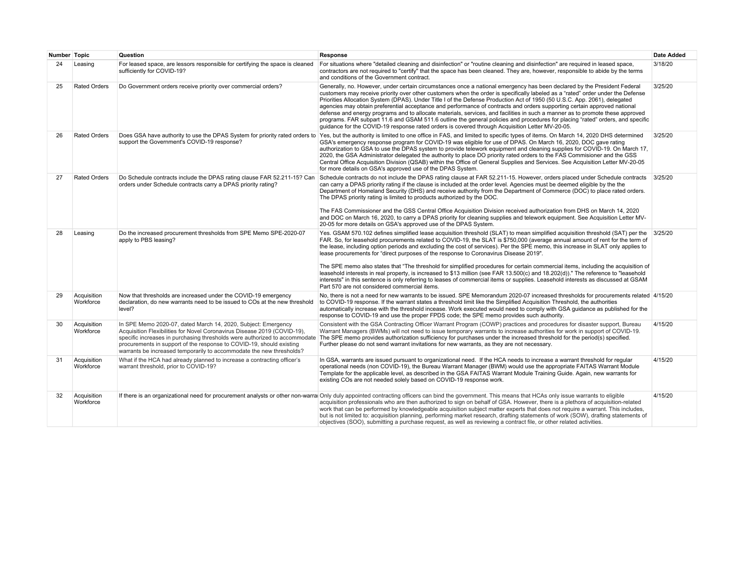| Number Topic |                          | Question                                                                                                                                                                                                                                                                                                                                                                | Response                                                                                                                                                                                                                                                                                                                                                                                                                                                                                                                                                                                                                                                                                                                                                                                                                                                                                                                                                              | Date Added |
|--------------|--------------------------|-------------------------------------------------------------------------------------------------------------------------------------------------------------------------------------------------------------------------------------------------------------------------------------------------------------------------------------------------------------------------|-----------------------------------------------------------------------------------------------------------------------------------------------------------------------------------------------------------------------------------------------------------------------------------------------------------------------------------------------------------------------------------------------------------------------------------------------------------------------------------------------------------------------------------------------------------------------------------------------------------------------------------------------------------------------------------------------------------------------------------------------------------------------------------------------------------------------------------------------------------------------------------------------------------------------------------------------------------------------|------------|
| 24           | Leasing                  | For leased space, are lessors responsible for certifying the space is cleaned<br>sufficiently for COVID-19?                                                                                                                                                                                                                                                             | For situations where "detailed cleaning and disinfection" or "routine cleaning and disinfection" are required in leased space,<br>contractors are not required to "certify" that the space has been cleaned. They are, however, responsible to abide by the terms<br>and conditions of the Government contract.                                                                                                                                                                                                                                                                                                                                                                                                                                                                                                                                                                                                                                                       | 3/18/20    |
| 25           | <b>Rated Orders</b>      | Do Government orders receive priority over commercial orders?                                                                                                                                                                                                                                                                                                           | Generally, no. However, under certain circumstances once a national emergency has been declared by the President Federal<br>customers may receive priority over other customers when the order is specifically labeled as a "rated" order under the Defense<br>Priorities Allocation System (DPAS). Under Title I of the Defense Production Act of 1950 (50 U.S.C. App. 2061), delegated<br>agencies may obtain preferential acceptance and performance of contracts and orders supporting certain approved national<br>defense and energy programs and to allocate materials, services, and facilities in such a manner as to promote these approved<br>programs. FAR subpart 11.6 and GSAM 511.6 outline the general policies and procedures for placing "rated" orders, and specific<br>quidance for the COVID-19 response rated orders is covered through Acquisition Letter MV-20-05.                                                                            | 3/25/20    |
| 26           | <b>Rated Orders</b>      | support the Government's COVID-19 response?                                                                                                                                                                                                                                                                                                                             | Does GSA have authority to use the DPAS System for priority rated orders to Yes, but the authority is limited to one office in FAS, and limited to specific types of items. On March 14, 2020 DHS determined<br>GSA's emergency response program for COVID-19 was eligible for use of DPAS. On March 16, 2020, DOC gave rating<br>authorization to GSA to use the DPAS system to provide telework equipment and cleaning supplies for COVID-19. On March 17,<br>2020, the GSA Administrator delegated the authority to place DO priority rated orders to the FAS Commisioner and the GSS<br>Central Office Acquisition Division (QSAB) within the Office of General Supplies and Services. See Acquisition Letter MV-20-05<br>for more details on GSA's approved use of the DPAS System.                                                                                                                                                                              | 3/25/20    |
| 27           | <b>Rated Orders</b>      | Do Schedule contracts include the DPAS rating clause FAR 52.211-15? Can<br>orders under Schedule contracts carry a DPAS priority rating?                                                                                                                                                                                                                                | Schedule contracts do not include the DPAS rating clause at FAR 52.211-15. However, orders placed under Schedule contracts<br>can carry a DPAS priority rating if the clause is included at the order level. Agencies must be deemed eligible by the the<br>Department of Homeland Security (DHS) and receive authority from the Department of Commerce (DOC) to place rated orders.<br>The DPAS priority rating is limited to products authorized by the DOC.<br>The FAS Commissioner and the GSS Central Office Acquisition Division received authorization from DHS on March 14, 2020<br>and DOC on March 16, 2020, to carry a DPAS priority for cleaning supplies and telework equipment. See Acquisition Letter MV-<br>20-05 for more details on GSA's approved use of the DPAS System.                                                                                                                                                                          | 3/25/20    |
| 28           | Leasing                  | Do the increased procurement thresholds from SPE Memo SPE-2020-07<br>apply to PBS leasing?                                                                                                                                                                                                                                                                              | Yes. GSAM 570.102 defines simplified lease acquisition threshold (SLAT) to mean simplified acquisition threshold (SAT) per the 3/25/20<br>FAR. So, for leasehold procurements related to COVID-19, the SLAT is \$750,000 (average annual amount of rent for the term of<br>the lease, including option periods and excluding the cost of services). Per the SPE memo, this increase in SLAT only applies to<br>lease procurements for "direct purposes of the response to Coronavirus Disease 2019".<br>The SPE memo also states that "The threshold for simplified procedures for certain commercial items, including the acquisition of<br>leasehold interests in real property, is increased to \$13 million (see FAR 13.500(c) and 18.202(d))." The reference to "leasehold<br>interests" in this sentence is only referring to leases of commercial items or supplies. Leasehold interests as discussed at GSAM<br>Part 570 are not considered commercial items. |            |
| 29           | Acquisition<br>Workforce | Now that thresholds are increased under the COVID-19 emergency<br>declaration, do new warrants need to be issued to COs at the new threshold<br>level?                                                                                                                                                                                                                  | No, there is not a need for new warrants to be issued. SPE Memorandum 2020-07 increased thresholds for procurements related 4/15/20<br>to COVID-19 response. If the warrant states a threshold limit like the Simplified Acquisition Threshold, the authorities<br>automatically increase with the threshold incease. Work executed would need to comply with GSA guidance as published for the<br>response to COVID-19 and use the proper FPDS code; the SPE memo provides such authority.                                                                                                                                                                                                                                                                                                                                                                                                                                                                           |            |
| 30           | Acquisition<br>Workforce | In SPE Memo 2020-07, dated March 14, 2020, Subject: Emergency<br>Acquisition Flexibilities for Novel Coronavirus Disease 2019 (COVID-19),<br>specific increases in purchasing thresholds were authorized to accommodate<br>procurements in support of the response to COVID-19, should existing<br>warrants be increased temporarily to accommodate the new thresholds? | Consistent with the GSA Contracting Officer Warrant Program (COWP) practices and procedures for disaster support, Bureau<br>Warrant Managers (BWMs) will not need to issue temporary warrants to increase authorities for work in support of COVID-19.<br>The SPE memo provides authorization sufficiency for purchases under the increased threshold for the period(s) specified.<br>Further please do not send warrant invitations for new warrants, as they are not necessary.                                                                                                                                                                                                                                                                                                                                                                                                                                                                                     | 4/15/20    |
| 31           | Acquisition<br>Workforce | What if the HCA had already planned to increase a contracting officer's<br>warrant threshold, prior to COVID-19?                                                                                                                                                                                                                                                        | In GSA, warrants are issued pursuant to organizational need. If the HCA needs to increase a warrant threshold for reqular<br>operational needs (non COVID-19), the Bureau Warrant Manager (BWM) would use the appropriate FAITAS Warrant Module<br>Template for the applicable level, as described in the GSA FAITAS Warrant Module Training Guide. Again, new warrants for<br>existing COs are not needed solely based on COVID-19 response work.                                                                                                                                                                                                                                                                                                                                                                                                                                                                                                                    | 4/15/20    |
| 32           | Acquisition<br>Workforce |                                                                                                                                                                                                                                                                                                                                                                         | If there is an organizational need for procurement analysts or other non-warral Only duly appointed contracting officers can bind the government. This means that HCAs only issue warrants to eligible<br>acquisition professionals who are then authorized to sign on behalf of GSA. However, there is a plethora of acquisition-related<br>work that can be performed by knowledgeable acquisition subject matter experts that does not require a warrant. This includes,<br>but is not limited to: acquisition planning, performing market research, drafting statements of work (SOW), drafting statements of<br>objectives (SOO), submitting a purchase request, as well as reviewing a contract file, or other related activities.                                                                                                                                                                                                                              | 4/15/20    |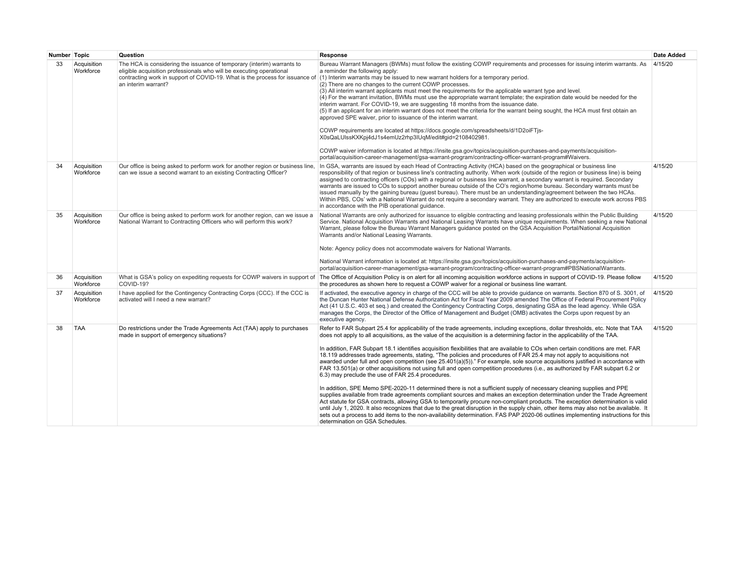| Number Topic |                          | Question                                                                                                                                                              | Response                                                                                                                                                                                                                                                                                                                                                                                                                                                                                                                                                                                                                                                                                                                                                                                                                                                                                                                                                                                                                                                                                                                                                                                                                                                                                                                                                                                                                                                                                                                                                            | Date Added |
|--------------|--------------------------|-----------------------------------------------------------------------------------------------------------------------------------------------------------------------|---------------------------------------------------------------------------------------------------------------------------------------------------------------------------------------------------------------------------------------------------------------------------------------------------------------------------------------------------------------------------------------------------------------------------------------------------------------------------------------------------------------------------------------------------------------------------------------------------------------------------------------------------------------------------------------------------------------------------------------------------------------------------------------------------------------------------------------------------------------------------------------------------------------------------------------------------------------------------------------------------------------------------------------------------------------------------------------------------------------------------------------------------------------------------------------------------------------------------------------------------------------------------------------------------------------------------------------------------------------------------------------------------------------------------------------------------------------------------------------------------------------------------------------------------------------------|------------|
| 33           | Acquisition<br>Workforce | The HCA is considering the issuance of temporary (interim) warrants to<br>eligible acquisition professionals who will be executing operational<br>an interim warrant? | Bureau Warrant Managers (BWMs) must follow the existing COWP requirements and processes for issuing interim warrants. As<br>a reminder the following apply:<br>contracting work in support of COVID-19. What is the process for issuance of (1) Interim warrants may be issued to new warrant holders for a temporary period.<br>(2) There are no changes to the current COWP processes.<br>(3) All interim warrant applicants must meet the requirements for the applicable warrant type and level.<br>(4) For the warrant invitation, BWMs must use the appropriate warrant template; the expiration date would be needed for the<br>interim warrant. For COVID-19, we are suggesting 18 months from the issuance date.<br>(5) If an applicant for an interim warrant does not meet the criteria for the warrant being sought, the HCA must first obtain an<br>approved SPE waiver, prior to issuance of the interim warrant.<br>COWP requirements are located at https://docs.google.com/spreadsheets/d/1D2oiFTjs-<br>X0sQaLUlssKXKpj4dJ1s4emUz2rhp3lUqM/edit#gid=2108402981.<br>COWP waiver information is located at https://insite.gsa.gov/topics/acquisition-purchases-and-payments/acquisition-<br>portal/acquisition-career-management/gsa-warrant-program/contracting-officer-warrant-program#Waivers.                                                                                                                                                                                                                                                    | 4/15/20    |
| 34           | Acquisition<br>Workforce | Our office is being asked to perform work for another region or business line.<br>can we issue a second warrant to an existing Contracting Officer?                   | In GSA, warrants are issued by each Head of Contracting Activity (HCA) based on the geographical or business line<br>responsibility of that region or business line's contracting authority. When work (outside of the region or business line) is being<br>assigned to contracting officers (COs) with a regional or business line warrant, a secondary warrant is required. Secondary<br>warrants are issued to COs to support another bureau outside of the CO's region/home bureau. Secondary warrants must be<br>issued manually by the gaining bureau (guest bureau). There must be an understanding/agreement between the two HCAs.<br>Within PBS, COs' with a National Warrant do not require a secondary warrant. They are authorized to execute work across PBS<br>in accordance with the PIB operational quidance.                                                                                                                                                                                                                                                                                                                                                                                                                                                                                                                                                                                                                                                                                                                                       | 4/15/20    |
| 35           | Acquisition<br>Workforce | Our office is being asked to perform work for another region, can we issue a<br>National Warrant to Contracting Officers who will perform this work?                  | National Warrants are only authorized for issuance to eligible contracting and leasing professionals within the Public Building<br>Service. National Acquisition Warrants and National Leasing Warrants have unique requirements. When seeking a new National<br>Warrant, please follow the Bureau Warrant Managers guidance posted on the GSA Acquisition Portal/National Acquisition<br>Warrants and/or National Leasing Warrants.<br>Note: Agency policy does not accommodate waivers for National Warrants.<br>National Warrant information is located at: https://insite.gsa.gov/topics/acquisition-purchases-and-payments/acquisition-<br>portal/acquisition-career-management/gsa-warrant-program/contracting-officer-warrant-program#PBSNationalWarrants.                                                                                                                                                                                                                                                                                                                                                                                                                                                                                                                                                                                                                                                                                                                                                                                                   | 4/15/20    |
| 36           | Acquisition<br>Workforce | What is GSA's policy on expediting requests for COWP waivers in support of<br>COVID-19?                                                                               | The Office of Acquisition Policy is on alert for all incoming acquisition workforce actions in support of COVID-19. Please follow<br>the procedures as shown here to request a COWP waiver for a regional or business line warrant.                                                                                                                                                                                                                                                                                                                                                                                                                                                                                                                                                                                                                                                                                                                                                                                                                                                                                                                                                                                                                                                                                                                                                                                                                                                                                                                                 | 4/15/20    |
| 37           | Acquisition<br>Workforce | I have applied for the Contingency Contracting Corps (CCC). If the CCC is<br>activated will I need a new warrant?                                                     | If activated, the executive agency in charge of the CCC will be able to provide guidance on warrants. Section 870 of S. 3001, of<br>the Duncan Hunter National Defense Authorization Act for Fiscal Year 2009 amended The Office of Federal Procurement Policy<br>Act (41 U.S.C. 403 et seg.) and created the Contingency Contracting Corps, designating GSA as the lead agency. While GSA<br>manages the Corps, the Director of the Office of Management and Budget (OMB) activates the Corps upon request by an<br>executive agency.                                                                                                                                                                                                                                                                                                                                                                                                                                                                                                                                                                                                                                                                                                                                                                                                                                                                                                                                                                                                                              | 4/15/20    |
| 38           | <b>TAA</b>               | Do restrictions under the Trade Agreements Act (TAA) apply to purchases<br>made in support of emergency situations?                                                   | Refer to FAR Subpart 25.4 for applicability of the trade agreements, including exceptions, dollar thresholds, etc. Note that TAA<br>does not apply to all acquisitions, as the value of the acquisition is a determining factor in the applicability of the TAA.<br>In addition, FAR Subpart 18.1 identifies acquisition flexibilities that are available to COs when certain conditions are met. FAR<br>18.119 addresses trade agreements, stating, "The policies and procedures of FAR 25.4 may not apply to acquisitions not<br>awarded under full and open competition (see 25.401(a)(5))." For example, sole source acquisitions justified in accordance with<br>FAR 13.501(a) or other acquisitions not using full and open competition procedures (i.e., as authorized by FAR subpart 6.2 or<br>6.3) may preclude the use of FAR 25.4 procedures.<br>In addition, SPE Memo SPE-2020-11 determined there is not a sufficient supply of necessary cleaning supplies and PPE<br>supplies available from trade agreements compliant sources and makes an exception determination under the Trade Agreement<br>Act statute for GSA contracts, allowing GSA to temporarily procure non-compliant products. The exception determination is valid<br>until July 1, 2020. It also recognizes that due to the great disruption in the supply chain, other items may also not be available. It<br>sets out a process to add items to the non-availability determination. FAS PAP 2020-06 outlines implementing instructions for this<br>determination on GSA Schedules. | 4/15/20    |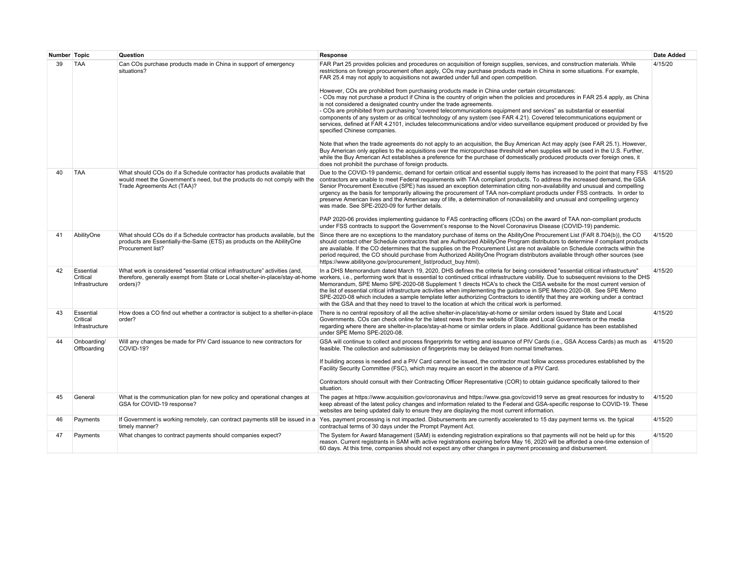| Number Topic |                                         | Question                                                                                                                                                                            | Response                                                                                                                                                                                                                                                                                                                                                                                                                                                                                                                                                                                                                                                                                                                                                                                                                                                                                                                                                                                                                                                                                                                                                                                                                                                                                                                                                                                                                                                                                                                                  | <b>Date Added</b> |
|--------------|-----------------------------------------|-------------------------------------------------------------------------------------------------------------------------------------------------------------------------------------|-------------------------------------------------------------------------------------------------------------------------------------------------------------------------------------------------------------------------------------------------------------------------------------------------------------------------------------------------------------------------------------------------------------------------------------------------------------------------------------------------------------------------------------------------------------------------------------------------------------------------------------------------------------------------------------------------------------------------------------------------------------------------------------------------------------------------------------------------------------------------------------------------------------------------------------------------------------------------------------------------------------------------------------------------------------------------------------------------------------------------------------------------------------------------------------------------------------------------------------------------------------------------------------------------------------------------------------------------------------------------------------------------------------------------------------------------------------------------------------------------------------------------------------------|-------------------|
| 39           | <b>TAA</b>                              | Can COs purchase products made in China in support of emergency<br>situations?                                                                                                      | FAR Part 25 provides policies and procedures on acquisition of foreign supplies, services, and construction materials. While<br>restrictions on foreign procurement often apply, COs may purchase products made in China in some situations. For example,<br>FAR 25.4 may not apply to acquisitions not awarded under full and open competition.<br>However, COs are prohibited from purchasing products made in China under certain circumstances:<br>- COs may not purchase a product if China is the country of origin when the policies and procedures in FAR 25.4 apply, as China<br>is not considered a designated country under the trade agreements.<br>- COs are prohibited from purchasing "covered telecommunications equipment and services" as substantial or essential<br>components of any system or as critical technology of any system (see FAR 4.21). Covered telecommunications equipment or<br>services, defined at FAR 4.2101, includes telecommunications and/or video surveillance equipment produced or provided by five<br>specified Chinese companies.<br>Note that when the trade agreements do not apply to an acquisition, the Buy American Act may apply (see FAR 25.1). However,<br>Buy American only applies to the acquisitions over the micropurchase threshold when supplies will be used in the U.S. Further,<br>while the Buy American Act establishes a preference for the purchase of domestically produced products over foreign ones, it<br>does not prohibit the purchase of foreign products. | 4/15/20           |
| 40           | <b>TAA</b>                              | What should COs do if a Schedule contractor has products available that<br>would meet the Government's need, but the products do not comply with the<br>Trade Agreements Act (TAA)? | Due to the COVID-19 pandemic, demand for certain critical and essential supply items has increased to the point that many FSS<br>contractors are unable to meet Federal requirements with TAA compliant products. To address the increased demand, the GSA<br>Senior Procurement Executive (SPE) has issued an exception determination citing non-availability and unusual and compelling<br>urgency as the basis for temporarily allowing the procurement of TAA non-compliant products under FSS contracts. In order to<br>preserve American lives and the American way of life, a determination of nonavailability and unusual and compelling urgency<br>was made. See SPE-2020-09 for further details.<br>PAP 2020-06 provides implementing guidance to FAS contracting officers (COs) on the award of TAA non-compliant products<br>under FSS contracts to support the Government's response to the Novel Coronavirus Disease (COVID-19) pandemic.                                                                                                                                                                                                                                                                                                                                                                                                                                                                                                                                                                                   | 4/15/20           |
| 41           | AbilityOne                              | What should COs do if a Schedule contractor has products available, but the<br>products are Essentially-the-Same (ETS) as products on the AbilityOne<br>Procurement list?           | Since there are no exceptions to the mandatory purchase of items on the AbilityOne Procurement List (FAR 8.704(b)), the CO<br>should contact other Schedule contractors that are Authorized AbilityOne Program distributors to determine if compliant products<br>are available. If the CO determines that the supplies on the Procurement List are not available on Schedule contracts within the<br>period required, the CO should purchase from Authorized AbilityOne Program distributors available through other sources (see<br>https://www.abilityone.gov/procurement list/product buy.html).                                                                                                                                                                                                                                                                                                                                                                                                                                                                                                                                                                                                                                                                                                                                                                                                                                                                                                                                      | 4/15/20           |
| 42           | Essential<br>Critical<br>Infrastructure | What work is considered "essential critical infrastructure" activities (and,<br>orders)?                                                                                            | In a DHS Memorandum dated March 19, 2020, DHS defines the criteria for being considered "essential critical infrastructure"<br>therefore, generally exempt from State or Local shelter-in-place/stay-at-home workers, i.e., performing work that is essential to continued critical infrastructure viability. Due to subsequent revisions to the DHS<br>Memorandum, SPE Memo SPE-2020-08 Supplement 1 directs HCA's to check the CISA website for the most current version of<br>the list of essential critical infrastructure activities when implementing the guidance in SPE Memo 2020-08. See SPE Memo<br>SPE-2020-08 which includes a sample template letter authorizing Contractors to identify that they are working under a contract<br>with the GSA and that they need to travel to the location at which the critical work is performed.                                                                                                                                                                                                                                                                                                                                                                                                                                                                                                                                                                                                                                                                                        | 4/15/20           |
| 43           | Essential<br>Critical<br>Infrastructure | How does a CO find out whether a contractor is subject to a shelter-in-place<br>order?                                                                                              | There is no central repository of all the active shelter-in-place/stay-at-home or similar orders issued by State and Local<br>Governments. COs can check online for the latest news from the website of State and Local Governments or the media<br>regarding where there are shelter-in-place/stay-at-home or similar orders in place. Additional guidance has been established<br>under SPE Memo SPE-2020-08.                                                                                                                                                                                                                                                                                                                                                                                                                                                                                                                                                                                                                                                                                                                                                                                                                                                                                                                                                                                                                                                                                                                           | 4/15/20           |
| 44           | Onboarding/<br>Offboarding              | Will any changes be made for PIV Card issuance to new contractors for<br>COVID-19?                                                                                                  | GSA will continue to collect and process fingerprints for vetting and issuance of PIV Cards (i.e., GSA Access Cards) as much as<br>feasible. The collection and submission of fingerprints may be delayed from normal timeframes.<br>If building access is needed and a PIV Card cannot be issued, the contractor must follow access procedures established by the<br>Facility Security Committee (FSC), which may require an escort in the absence of a PIV Card.<br>Contractors should consult with their Contracting Officer Representative (COR) to obtain quidance specifically tailored to their<br>situation.                                                                                                                                                                                                                                                                                                                                                                                                                                                                                                                                                                                                                                                                                                                                                                                                                                                                                                                      | 4/15/20           |
| 45           | General                                 | What is the communication plan for new policy and operational changes at<br>GSA for COVID-19 response?                                                                              | The pages at https://www.acquisition.gov/coronavirus and https://www.gsa.gov/covid19 serve as great resources for industry to<br>keep abreast of the latest policy changes and information related to the Federal and GSA-specific response to COVID-19. These<br>websites are being updated daily to ensure they are displaying the most current information.                                                                                                                                                                                                                                                                                                                                                                                                                                                                                                                                                                                                                                                                                                                                                                                                                                                                                                                                                                                                                                                                                                                                                                            | 4/15/20           |
| 46           | Payments                                | timely manner?                                                                                                                                                                      | If Government is working remotely, can contract payments still be issued in a Yes, payment processing is not impacted. Disbursements are currently accelerated to 15 day payment terms vs. the typical<br>contractual terms of 30 days under the Prompt Payment Act.                                                                                                                                                                                                                                                                                                                                                                                                                                                                                                                                                                                                                                                                                                                                                                                                                                                                                                                                                                                                                                                                                                                                                                                                                                                                      | 4/15/20           |
| 47           | Payments                                | What changes to contract payments should companies expect?                                                                                                                          | The System for Award Management (SAM) is extending registration expirations so that payments will not be held up for this<br>reason. Current registrants in SAM with active registrations expiring before May 16, 2020 will be afforded a one-time extension of<br>60 days. At this time, companies should not expect any other changes in payment processing and disbursement.                                                                                                                                                                                                                                                                                                                                                                                                                                                                                                                                                                                                                                                                                                                                                                                                                                                                                                                                                                                                                                                                                                                                                           | 4/15/20           |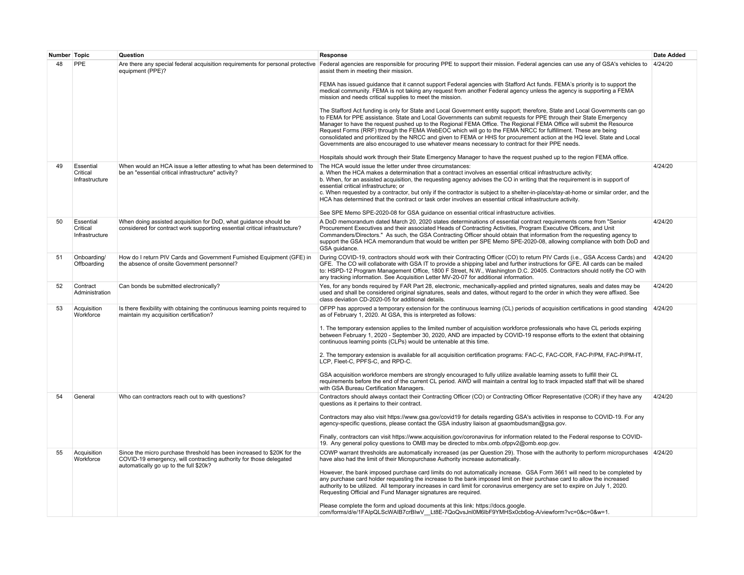| Number Topic |                                         | Question                                                                                                                                                                               | Response                                                                                                                                                                                                                                                                                                                                                                                                                                                                                                                                                                                                                                                                                                                   | <b>Date Added</b> |
|--------------|-----------------------------------------|----------------------------------------------------------------------------------------------------------------------------------------------------------------------------------------|----------------------------------------------------------------------------------------------------------------------------------------------------------------------------------------------------------------------------------------------------------------------------------------------------------------------------------------------------------------------------------------------------------------------------------------------------------------------------------------------------------------------------------------------------------------------------------------------------------------------------------------------------------------------------------------------------------------------------|-------------------|
| 48           | PPE                                     | Are there any special federal acquisition requirements for personal protective<br>equipment (PPE)?                                                                                     | Federal agencies are responsible for procuring PPE to support their mission. Federal agencies can use any of GSA's vehicles to<br>assist them in meeting their mission.                                                                                                                                                                                                                                                                                                                                                                                                                                                                                                                                                    | 4/24/20           |
|              |                                         |                                                                                                                                                                                        | FEMA has issued quidance that it cannot support Federal agencies with Stafford Act funds. FEMA's priority is to support the<br>medical community. FEMA is not taking any request from another Federal agency unless the agency is supporting a FEMA<br>mission and needs critical supplies to meet the mission.                                                                                                                                                                                                                                                                                                                                                                                                            |                   |
|              |                                         |                                                                                                                                                                                        | The Stafford Act funding is only for State and Local Government entity support; therefore, State and Local Governments can go<br>to FEMA for PPE assistance. State and Local Governments can submit requests for PPE through their State Emergency<br>Manager to have the request pushed up to the Regional FEMA Office. The Regional FEMA Office will submit the Resource<br>Request Forms (RRF) through the FEMA WebEOC which will go to the FEMA NRCC for fulfillment. These are being<br>consolidated and prioritized by the NRCC and given to FEMA or HHS for procurement action at the HQ level. State and Local<br>Governments are also encouraged to use whatever means necessary to contract for their PPE needs. |                   |
|              |                                         |                                                                                                                                                                                        | Hospitals should work through their State Emergency Manager to have the request pushed up to the region FEMA office.                                                                                                                                                                                                                                                                                                                                                                                                                                                                                                                                                                                                       |                   |
| 49           | Essential<br>Critical<br>Infrastructure | When would an HCA issue a letter attesting to what has been determined to<br>be an "essential critical infrastructure" activity?                                                       | The HCA would issue the letter under three circumstances:<br>a. When the HCA makes a determination that a contract involves an essential critical infrastructure activity;<br>b. When, for an assisted acquisition, the requesting agency advises the CO in writing that the requirement is in support of<br>essential critical infrastructure: or                                                                                                                                                                                                                                                                                                                                                                         | 4/24/20           |
|              |                                         |                                                                                                                                                                                        | c. When requested by a contractor, but only if the contractor is subject to a shelter-in-place/stay-at-home or similar order, and the<br>HCA has determined that the contract or task order involves an essential critical infrastructure activity.                                                                                                                                                                                                                                                                                                                                                                                                                                                                        |                   |
|              |                                         |                                                                                                                                                                                        | See SPE Memo SPE-2020-08 for GSA guidance on essential critical infrastructure activities.                                                                                                                                                                                                                                                                                                                                                                                                                                                                                                                                                                                                                                 |                   |
| 50           | Essential<br>Critical<br>Infrastructure | When doing assisted acquisition for DoD, what guidance should be<br>considered for contract work supporting essential critical infrastructure?                                         | A DoD memorandum dated March 20, 2020 states determinations of essential contract requirements come from "Senior<br>Procurement Executives and their associated Heads of Contracting Activities, Program Executive Officers, and Unit<br>Commanders/Directors." As such, the GSA Contracting Officer should obtain that information from the requesting agency to<br>support the GSA HCA memorandum that would be written per SPE Memo SPE-2020-08, allowing compliance with both DoD and<br>GSA quidance.                                                                                                                                                                                                                 | 4/24/20           |
| 51           | Onboarding/<br>Offboarding              | How do I return PIV Cards and Government Furnished Equipment (GFE) in<br>the absence of onsite Government personnel?                                                                   | During COVID-19, contractors should work with their Contracting Officer (CO) to return PIV Cards (i.e., GSA Access Cards) and<br>GFE. The CO will collaborate with GSA IT to provide a shipping label and further instructions for GFE. All cards can be mailed<br>to: HSPD-12 Program Management Office, 1800 F Street, N.W., Washington D.C. 20405. Contractors should notify the CO with<br>any tracking information. See Acquisition Letter MV-20-07 for additional information.                                                                                                                                                                                                                                       | 4/24/20           |
| 52           | Contract<br>Administration              | Can bonds be submitted electronically?                                                                                                                                                 | Yes, for any bonds required by FAR Part 28, electronic, mechanically-applied and printed signatures, seals and dates may be<br>used and shall be considered original signatures, seals and dates, without regard to the order in which they were affixed. See<br>class deviation CD-2020-05 for additional details.                                                                                                                                                                                                                                                                                                                                                                                                        | 4/24/20           |
| 53           | Acquisition<br>Workforce                | Is there flexibility with obtaining the continuous learning points required to<br>maintain my acquisition certification?                                                               | OFPP has approved a temporary extension for the continuous learning (CL) periods of acquisition certifications in good standing<br>as of February 1, 2020. At GSA, this is interpreted as follows:                                                                                                                                                                                                                                                                                                                                                                                                                                                                                                                         | 4/24/20           |
|              |                                         |                                                                                                                                                                                        | 1. The temporary extension applies to the limited number of acquisition workforce professionals who have CL periods expiring<br>between February 1, 2020 - September 30, 2020, AND are impacted by COVID-19 response efforts to the extent that obtaining<br>continuous learning points (CLPs) would be untenable at this time.                                                                                                                                                                                                                                                                                                                                                                                            |                   |
|              |                                         |                                                                                                                                                                                        | 2. The temporary extension is available for all acquisition certification programs: FAC-C, FAC-COR, FAC-P/PM, FAC-P/PM-IT,<br>LCP, Fleet-C, PPFS-C, and RPD-C.                                                                                                                                                                                                                                                                                                                                                                                                                                                                                                                                                             |                   |
|              |                                         |                                                                                                                                                                                        | GSA acquisition workforce members are strongly encouraged to fully utilize available learning assets to fulfill their CL<br>requirements before the end of the current CL period. AWD will maintain a central log to track impacted staff that will be shared<br>with GSA Bureau Certification Managers.                                                                                                                                                                                                                                                                                                                                                                                                                   |                   |
| 54           | General                                 | Who can contractors reach out to with questions?                                                                                                                                       | Contractors should always contact their Contracting Officer (CO) or Contracting Officer Representative (COR) if they have any<br>questions as it pertains to their contract.                                                                                                                                                                                                                                                                                                                                                                                                                                                                                                                                               | 4/24/20           |
|              |                                         |                                                                                                                                                                                        | Contractors may also visit https://www.qsa.gov/covid19 for details regarding GSA's activities in response to COVID-19. For any<br>agency-specific questions, please contact the GSA industry liaison at gsaombudsman@gsa.gov.                                                                                                                                                                                                                                                                                                                                                                                                                                                                                              |                   |
|              |                                         |                                                                                                                                                                                        | Finally, contractors can visit https://www.acquisition.gov/coronavirus for information related to the Federal response to COVID-<br>19. Any general policy questions to OMB may be directed to mbx.omb.ofppv2@omb.eop.gov.                                                                                                                                                                                                                                                                                                                                                                                                                                                                                                 |                   |
| 55           | Acquisition<br>Workforce                | Since the micro purchase threshold has been increased to \$20K for the<br>COVID-19 emergency, will contracting authority for those delegated<br>automatically go up to the full \$20k? | COWP warrant thresholds are automatically increased (as per Question 29). Those with the authority to perform micropurchases 4/24/20<br>have also had the limit of their Micropurchase Authority increase automatically.                                                                                                                                                                                                                                                                                                                                                                                                                                                                                                   |                   |
|              |                                         |                                                                                                                                                                                        | However, the bank imposed purchase card limits do not automatically increase. GSA Form 3661 will need to be completed by<br>any purchase card holder requesting the increase to the bank imposed limit on their purchase card to allow the increased<br>authority to be utilized. All temporary increases in card limit for coronavirus emergency are set to expire on July 1, 2020.<br>Requesting Official and Fund Manager signatures are required.                                                                                                                                                                                                                                                                      |                   |
|              |                                         |                                                                                                                                                                                        | Please complete the form and upload documents at this link: https://docs.google.<br>com/forms/d/e/1FAIpQLScWAIB7crBIwV__Lt8E-7QoQvsJnl0M6lbF9YMHSx0cb6og-A/viewform?vc=0&c=0&w=1.                                                                                                                                                                                                                                                                                                                                                                                                                                                                                                                                          |                   |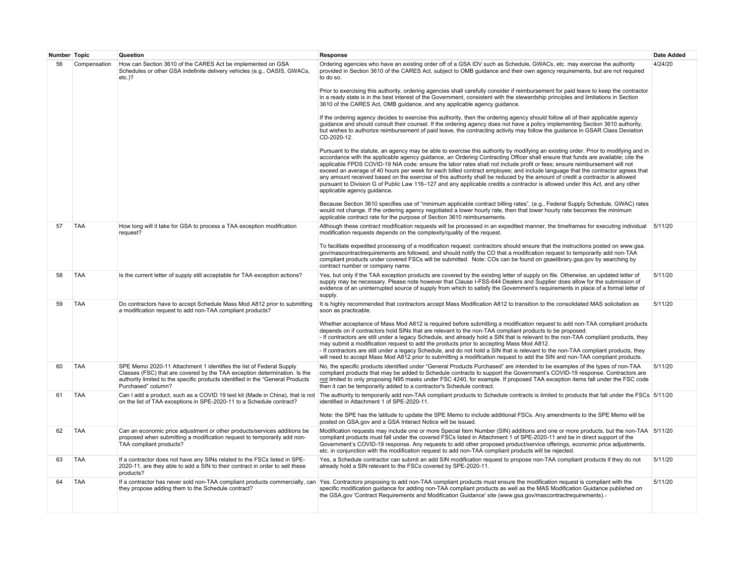| Number Topic |              | Question                                                                                                                                                                                                                                                  | Response                                                                                                                                                                                                                                                                                                                                                                                                                                                                                                                                                                                                                                                                                                                                                                                                                              | Date Added |
|--------------|--------------|-----------------------------------------------------------------------------------------------------------------------------------------------------------------------------------------------------------------------------------------------------------|---------------------------------------------------------------------------------------------------------------------------------------------------------------------------------------------------------------------------------------------------------------------------------------------------------------------------------------------------------------------------------------------------------------------------------------------------------------------------------------------------------------------------------------------------------------------------------------------------------------------------------------------------------------------------------------------------------------------------------------------------------------------------------------------------------------------------------------|------------|
| 56           | Compensation | How can Section 3610 of the CARES Act be implemented on GSA<br>Schedules or other GSA indefinite delivery vehicles (e.g., OASIS, GWACs,<br>$etc.$ )?                                                                                                      | Ordering agencies who have an existing order off of a GSA IDV such as Schedule, GWACs, etc. may exercise the authority<br>provided in Section 3610 of the CARES Act, subject to OMB quidance and their own agency requirements, but are not required<br>to do so.                                                                                                                                                                                                                                                                                                                                                                                                                                                                                                                                                                     | 4/24/20    |
|              |              |                                                                                                                                                                                                                                                           | Prior to exercising this authority, ordering agencies shall carefully consider if reimbursement for paid leave to keep the contractor<br>in a ready state is in the best interest of the Government, consistent with the stewardship principles and limitations in Section<br>3610 of the CARES Act, OMB quidance, and any applicable agency quidance.                                                                                                                                                                                                                                                                                                                                                                                                                                                                                |            |
|              |              |                                                                                                                                                                                                                                                           | If the ordering agency decides to exercise this authority, then the ordering agency should follow all of their applicable agency<br>guidance and should consult their counsel. If the ordering agency does not have a policy implementing Section 3610 authority,<br>but wishes to authorize reimbursement of paid leave, the contracting activity may follow the quidance in GSAR Class Deviation<br>CD-2020-12.                                                                                                                                                                                                                                                                                                                                                                                                                     |            |
|              |              |                                                                                                                                                                                                                                                           | Pursuant to the statute, an agency may be able to exercise this authority by modifying an existing order. Prior to modifying and in<br>accordance with the applicable agency quidance, an Ordering Contracting Officer shall ensure that funds are available; cite the<br>applicable FPDS COVID-19 NIA code; ensure the labor rates shall not include profit or fees; ensure reimbursement will not<br>exceed an average of 40 hours per week for each billed contract employee; and include language that the contractor agrees that<br>any amount received based on the exercise of this authority shall be reduced by the amount of credit a contractor is allowed<br>pursuant to Division G of Public Law 116–127 and any applicable credits a contractor is allowed under this Act, and any other<br>applicable agency guidance. |            |
|              |              |                                                                                                                                                                                                                                                           | Because Section 3610 specifies use of "minimum applicable contract billing rates", (e.g., Federal Supply Schedule, GWAC) rates<br>would not change. If the ordering agency negotiated a lower hourly rate, then that lower hourly rate becomes the minimum<br>applicable contract rate for the purpose of Section 3610 reimbursements.                                                                                                                                                                                                                                                                                                                                                                                                                                                                                                |            |
| 57           | <b>TAA</b>   | How long will it take for GSA to process a TAA exception modification<br>request?                                                                                                                                                                         | Although these contract modification requests will be processed in an expedited manner, the timeframes for executing individual 5/11/20<br>modification requests depends on the complexity/quality of the request.                                                                                                                                                                                                                                                                                                                                                                                                                                                                                                                                                                                                                    |            |
|              |              |                                                                                                                                                                                                                                                           | To facilitate expedited processing of a modification request: contractors should ensure that the instructions posted on www.gsa.<br>gov/mascontractrequirements are followed, and should notify the CO that a modification request to temporarily add non-TAA<br>compliant products under covered FSCs will be submitted. Note: COs can be found on gsaelibrary.gsa.gov by searching by<br>contract number or company name.                                                                                                                                                                                                                                                                                                                                                                                                           |            |
| 58           | <b>TAA</b>   | Is the current letter of supply still acceptable for TAA exception actions?                                                                                                                                                                               | Yes, but only if the TAA exception products are covered by the existing letter of supply on file. Otherwise, an updated letter of<br>supply may be necessary. Please note however that Clause I-FSS-644 Dealers and Supplier does allow for the submission of<br>evidence of an uninterrupted source of supply from which to satisfy the Government's requirements in place of a formal letter of<br>supply.                                                                                                                                                                                                                                                                                                                                                                                                                          | 5/11/20    |
| 59           | <b>TAA</b>   | Do contractors have to accept Schedule Mass Mod A812 prior to submitting<br>a modification request to add non-TAA compliant products?                                                                                                                     | It is highly recommended that contractors accept Mass Modification A812 to transition to the consolidated MAS solicitation as<br>soon as practicable.                                                                                                                                                                                                                                                                                                                                                                                                                                                                                                                                                                                                                                                                                 | 5/11/20    |
|              |              |                                                                                                                                                                                                                                                           | Whether acceptance of Mass Mod A812 is required before submitting a modification request to add non-TAA compliant products<br>depends on if contractors hold SINs that are relevant to the non-TAA compliant products to be proposed.<br>- If contractors are still under a legacy Schedule, and already hold a SIN that is relevant to the non-TAA compliant products, they<br>may submit a modification request to add the products prior to accepting Mass Mod A812.<br>- If contractors are still under a legacy Schedule, and do not hold a SIN that is relevant to the non-TAA compliant products, they<br>will need to accept Mass Mod A812 prior to submitting a modification request to add the SIN and non-TAA compliant products.                                                                                          |            |
| 60           | <b>TAA</b>   | SPE Memo 2020-11 Attachment 1 identifies the list of Federal Supply<br>Classes (FSC) that are covered by the TAA exception determination. Is the<br>authority limited to the specific products identified in the "General Products"<br>Purchased" column? | No, the specific products identified under "General Products Purchased" are intended to be examples of the types of non-TAA<br>compliant products that may be added to Schedule contracts to support the Government's COVID-19 response. Contractors are<br>not limited to only proposing N95 masks under FSC 4240, for example. If proposed TAA exception items fall under the FSC code<br>then it can be temporarily added to a contractor's Schedule contract.                                                                                                                                                                                                                                                                                                                                                                     | 5/11/20    |
| 61           | <b>TAA</b>   | Can I add a product, such as a COVID 19 test kit (Made in China), that is not<br>on the list of TAA exceptions in SPE-2020-11 to a Schedule contract?                                                                                                     | The authority to temporarily add non-TAA compliant products to Schedule contracts is limited to products that fall under the FSCs 5/11/20<br>identified in Attachment 1 of SPE-2020-11.                                                                                                                                                                                                                                                                                                                                                                                                                                                                                                                                                                                                                                               |            |
|              |              |                                                                                                                                                                                                                                                           | Note: the SPE has the latitude to update the SPE Memo to include additional FSCs. Any amendments to the SPE Memo will be<br>posted on GSA.gov and a GSA Interact Notice will be issued.                                                                                                                                                                                                                                                                                                                                                                                                                                                                                                                                                                                                                                               |            |
| 62           | <b>TAA</b>   | Can an economic price adjustment or other products/services additions be<br>proposed when submitting a modification request to temporarily add non-<br>TAA compliant products?                                                                            | Modification requests may include one or more Special Item Number (SIN) additions and one or more products, but the non-TAA  5/11/20<br>compliant products must fall under the covered FSCs listed in Attachment 1 of SPE-2020-11 and be in direct support of the<br>Government's COVID-19 response. Any requests to add other proposed product/service offerings, economic price adjustments,<br>etc. in conjunction with the modification request to add non-TAA compliant products will be rejected.                                                                                                                                                                                                                                                                                                                               |            |
| 63           | <b>TAA</b>   | If a contractor does not have any SINs related to the FSCs listed in SPE-<br>2020-11, are they able to add a SIN to their contract in order to sell these<br>products?                                                                                    | Yes, a Schedule contractor can submit an add SIN modification request to propose non-TAA compliant products if they do not<br>already hold a SIN relevant to the FSCs covered by SPE-2020-11.                                                                                                                                                                                                                                                                                                                                                                                                                                                                                                                                                                                                                                         | 5/11/20    |
| 64           | <b>TAA</b>   | they propose adding them to the Schedule contract?                                                                                                                                                                                                        | If a contractor has never sold non-TAA compliant products commercially, can Yes. Contractors proposing to add non-TAA compliant products must ensure the modification request is compliant with the<br>specific modification quidance for adding non-TAA compliant products as well as the MAS Modification Guidance published on<br>the GSA.gov 'Contract Requirements and Modification Guidance' site (www.gsa.gov/mascontractrequirements).                                                                                                                                                                                                                                                                                                                                                                                        | 5/11/20    |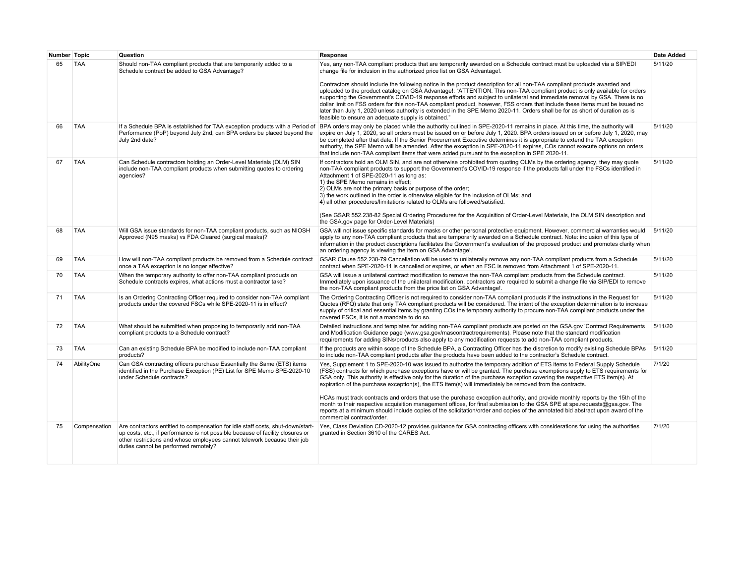| Number Topic |              | Question                                                                                                                                                                                                                                                                              | Response                                                                                                                                                                                                                                                                                                                                                                                                                                                                                                                                                                                                                                                                                                                                                                                                                                                                                                                              | <b>Date Added</b> |
|--------------|--------------|---------------------------------------------------------------------------------------------------------------------------------------------------------------------------------------------------------------------------------------------------------------------------------------|---------------------------------------------------------------------------------------------------------------------------------------------------------------------------------------------------------------------------------------------------------------------------------------------------------------------------------------------------------------------------------------------------------------------------------------------------------------------------------------------------------------------------------------------------------------------------------------------------------------------------------------------------------------------------------------------------------------------------------------------------------------------------------------------------------------------------------------------------------------------------------------------------------------------------------------|-------------------|
| 65           | <b>TAA</b>   | Should non-TAA compliant products that are temporarily added to a<br>Schedule contract be added to GSA Advantage?                                                                                                                                                                     | Yes, any non-TAA compliant products that are temporarily awarded on a Schedule contract must be uploaded via a SIP/EDI<br>change file for inclusion in the authorized price list on GSA Advantage!.<br>Contractors should include the following notice in the product description for all non-TAA compliant products awarded and<br>uploaded to the product catalog on GSA Advantage!: "ATTENTION: This non-TAA compliant product is only available for orders<br>supporting the Government's COVID-19 response efforts and subject to unilateral and immediate removal by GSA. There is no<br>dollar limit on FSS orders for this non-TAA compliant product, however, FSS orders that include these items must be issued no<br>later than July 1, 2020 unless authority is extended in the SPE Memo 2020-11. Orders shall be for as short of duration as is                                                                          | 5/11/20           |
|              |              |                                                                                                                                                                                                                                                                                       | feasible to ensure an adequate supply is obtained."                                                                                                                                                                                                                                                                                                                                                                                                                                                                                                                                                                                                                                                                                                                                                                                                                                                                                   |                   |
| 66           | <b>TAA</b>   | Performance (PoP) beyond July 2nd, can BPA orders be placed beyond the<br>July 2nd date?                                                                                                                                                                                              | If a Schedule BPA is established for TAA exception products with a Period of  BPA orders may only be placed while the authority outlined in SPE-2020-11 remains in place. At this time, the authority will<br>expire on July 1, 2020, so all orders must be issued on or before July 1, 2020. BPA orders issued on or before July 1, 2020, may<br>be completed after that date. If the Senior Procurement Executive determines it is appropriate to extend the TAA exception<br>authority, the SPE Memo will be amended. After the exception in SPE-2020-11 expires, COs cannot execute options on orders<br>that include non-TAA compliant items that were added pursuant to the exception in SPE 2020-11.                                                                                                                                                                                                                           | 5/11/20           |
| 67           | <b>TAA</b>   | Can Schedule contractors holding an Order-Level Materials (OLM) SIN<br>include non-TAA compliant products when submitting quotes to ordering<br>agencies?                                                                                                                             | If contractors hold an OLM SIN, and are not otherwise prohibited from quoting OLMs by the ordering agency, they may quote<br>non-TAA compliant products to support the Government's COVID-19 response if the products fall under the FSCs identified in<br>Attachment 1 of SPE-2020-11 as long as:<br>1) the SPE Memo remains in effect;<br>2) OLMs are not the primary basis or purpose of the order;<br>3) the work outlined in the order is otherwise eligible for the inclusion of OLMs; and<br>4) all other procedures/limitations related to OLMs are followed/satisfied.<br>(See GSAR 552.238-82 Special Ordering Procedures for the Acquisition of Order-Level Materials, the OLM SIN description and<br>the GSA.gov page for Order-Level Materials)                                                                                                                                                                          | 5/11/20           |
| 68           | <b>TAA</b>   | Will GSA issue standards for non-TAA compliant products, such as NIOSH<br>Approved (N95 masks) vs FDA Cleared (surgical masks)?                                                                                                                                                       | GSA will not issue specific standards for masks or other personal protective equipment. However, commercial warranties would<br>apply to any non-TAA compliant products that are temporarily awarded on a Schedule contract. Note: inclusion of this type of<br>information in the product descriptions facilitates the Government's evaluation of the proposed product and promotes clarity when<br>an ordering agency is viewing the item on GSA Advantage!.                                                                                                                                                                                                                                                                                                                                                                                                                                                                        | 5/11/20           |
| 69           | <b>TAA</b>   | How will non-TAA compliant products be removed from a Schedule contract<br>once a TAA exception is no longer effective?                                                                                                                                                               | GSAR Clause 552.238-79 Cancellation will be used to unilaterally remove any non-TAA compliant products from a Schedule<br>contract when SPE-2020-11 is cancelled or expires, or when an FSC is removed from Attachment 1 of SPE-2020-11.                                                                                                                                                                                                                                                                                                                                                                                                                                                                                                                                                                                                                                                                                              | 5/11/20           |
| 70           | <b>TAA</b>   | When the temporary authority to offer non-TAA compliant products on<br>Schedule contracts expires, what actions must a contractor take?                                                                                                                                               | GSA will issue a unilateral contract modification to remove the non-TAA compliant products from the Schedule contract.<br>Immediately upon issuance of the unilateral modification, contractors are required to submit a change file via SIP/EDI to remove<br>the non-TAA compliant products from the price list on GSA Advantage!.                                                                                                                                                                                                                                                                                                                                                                                                                                                                                                                                                                                                   | 5/11/20           |
| 71           | <b>TAA</b>   | Is an Ordering Contracting Officer required to consider non-TAA compliant<br>products under the covered FSCs while SPE-2020-11 is in effect?                                                                                                                                          | The Ordering Contracting Officer is not required to consider non-TAA compliant products if the instructions in the Request for<br>Quotes (RFQ) state that only TAA compliant products will be considered. The intent of the exception determination is to increase<br>supply of critical and essential items by granting COs the temporary authority to procure non-TAA compliant products under the<br>covered FSCs, it is not a mandate to do so.                                                                                                                                                                                                                                                                                                                                                                                                                                                                                   | 5/11/20           |
| 72           | <b>TAA</b>   | What should be submitted when proposing to temporarily add non-TAA<br>compliant products to a Schedule contract?                                                                                                                                                                      | Detailed instructions and templates for adding non-TAA compliant products are posted on the GSA.gov 'Contract Requirements<br>and Modification Guidance page (www.gsa.gov/mascontractrequirements). Please note that the standard modification<br>requirements for adding SINs/products also apply to any modification requests to add non-TAA compliant products.                                                                                                                                                                                                                                                                                                                                                                                                                                                                                                                                                                    | 5/11/20           |
| 73           | <b>TAA</b>   | Can an existing Schedule BPA be modified to include non-TAA compliant<br>products?                                                                                                                                                                                                    | If the products are within scope of the Schedule BPA, a Contracting Officer has the discretion to modify existing Schedule BPAs<br>to include non-TAA compliant products after the products have been added to the contractor's Schedule contract.                                                                                                                                                                                                                                                                                                                                                                                                                                                                                                                                                                                                                                                                                    | 5/11/20           |
| 74           | AbilityOne   | Can GSA contracting officers purchase Essentially the Same (ETS) items<br>identified in the Purchase Exception (PE) List for SPE Memo SPE-2020-10<br>under Schedule contracts?                                                                                                        | Yes, Supplement 1 to SPE-2020-10 was issued to authorize the temporary addition of ETS items to Federal Supply Schedule<br>(FSS) contracts for which purchase exceptions have or will be granted. The purchase exemptions apply to ETS requirements for<br>GSA only. This authority is effective only for the duration of the purchase exception covering the respective ETS item(s). At<br>expiration of the purchase exception(s), the ETS item(s) will immediately be removed from the contracts.<br>HCAs must track contracts and orders that use the purchase exception authority, and provide monthly reports by the 15th of the<br>month to their respective acquisition management offices, for final submission to the GSA SPE at spe.requests@gsa.gov. The<br>reports at a minimum should include copies of the solicitation/order and copies of the annotated bid abstract upon award of the<br>commercial contract/order. | 7/1/20            |
| 75           | Compensation | Are contractors entitled to compensation for idle staff costs, shut-down/start-<br>up costs, etc., if performance is not possible because of facility closures or<br>other restrictions and whose employees cannot telework because their job<br>duties cannot be performed remotely? | Yes, Class Deviation CD-2020-12 provides quidance for GSA contracting officers with considerations for using the authorities<br>granted in Section 3610 of the CARES Act.                                                                                                                                                                                                                                                                                                                                                                                                                                                                                                                                                                                                                                                                                                                                                             | 7/1/20            |